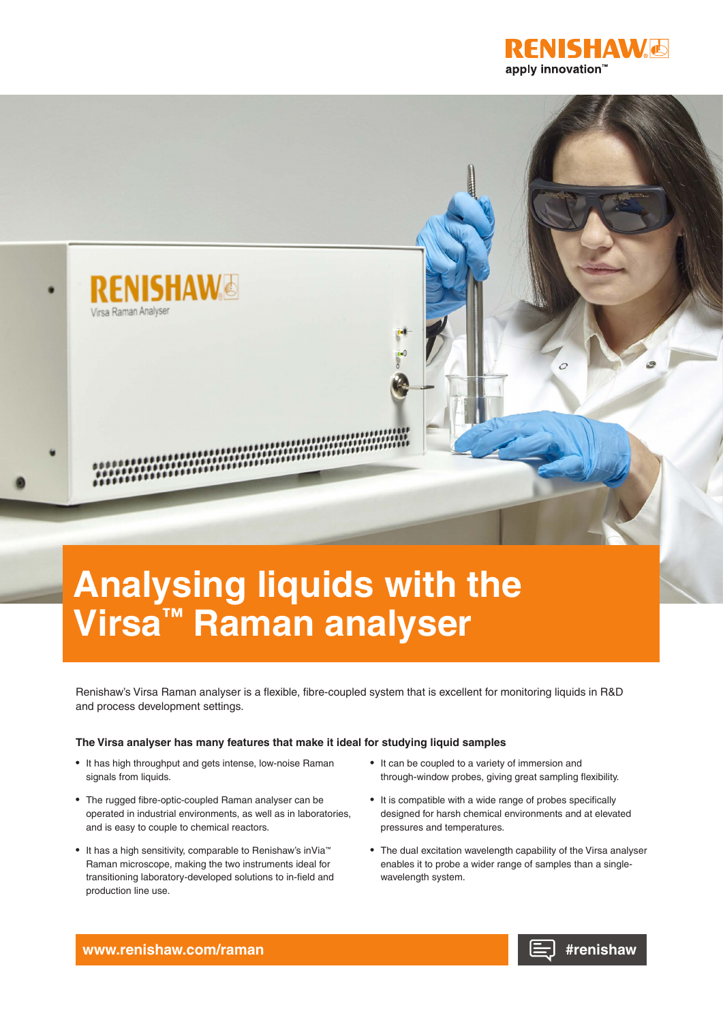



# **Analysing liquids with the Virsa™ Raman analyser**

Renishaw's Virsa Raman analyser is a flexible, fibre-coupled system that is excellent for monitoring liquids in R&D and process development settings.

### **The Virsa analyser has many features that make it ideal for studying liquid samples**

- It has high throughput and gets intense, low-noise Raman signals from liquids.
- The rugged fibre-optic-coupled Raman analyser can be operated in industrial environments, as well as in laboratories, and is easy to couple to chemical reactors.
- It has a high sensitivity, comparable to Renishaw's inVia™ Raman microscope, making the two instruments ideal for transitioning laboratory-developed solutions to in-field and production line use.
- It can be coupled to a variety of immersion and through-window probes, giving great sampling flexibility.
- It is compatible with a wide range of probes specifically designed for harsh chemical environments and at elevated pressures and temperatures.
- The dual excitation wavelength capability of the Virsa analyser enables it to probe a wider range of samples than a singlewavelength system.